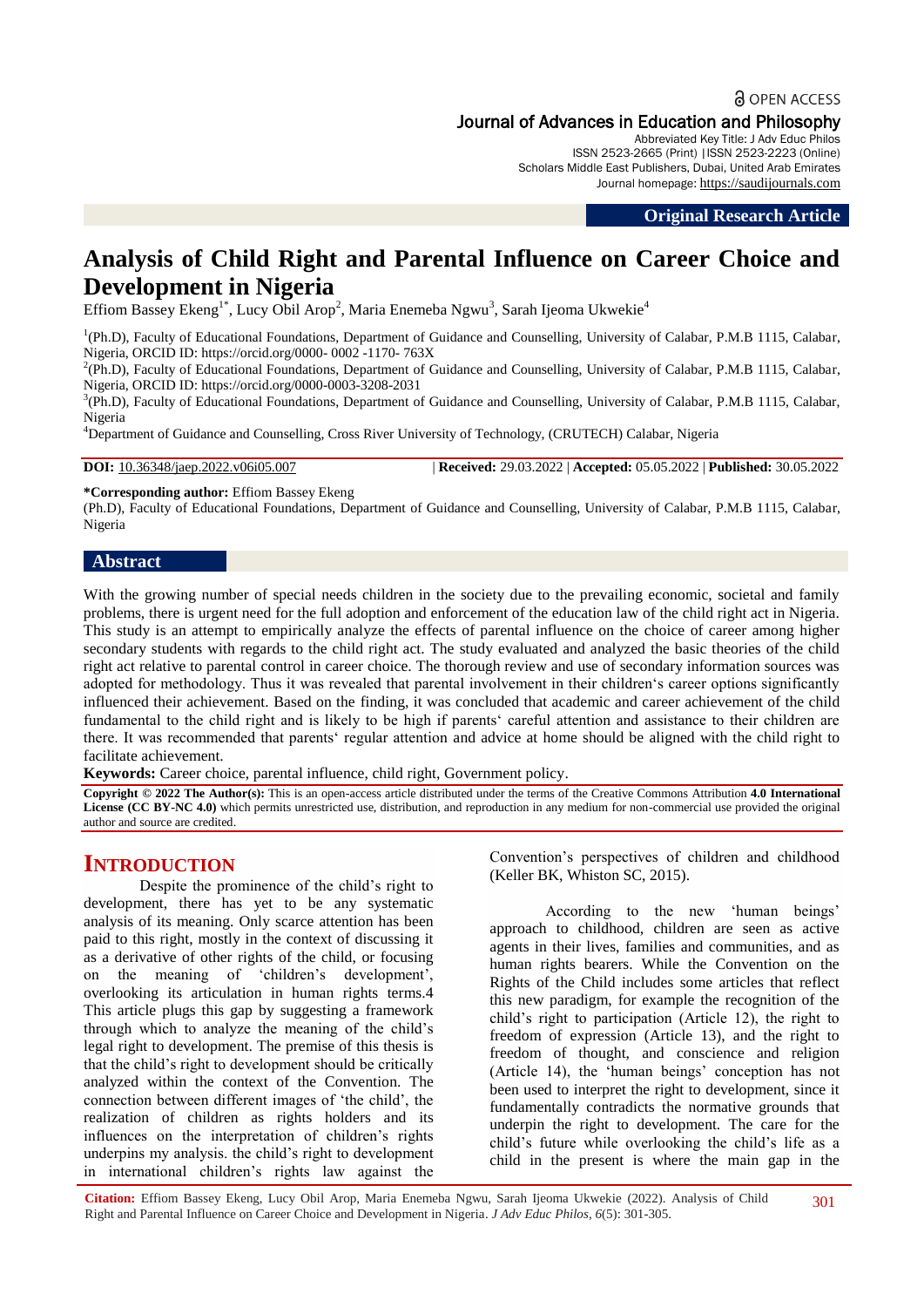## **a** OPEN ACCESS Journal of Advances in Education and Philosophy

Abbreviated Key Title: J Adv Educ Philos ISSN 2523-2665 (Print) |ISSN 2523-2223 (Online) Scholars Middle East Publishers, Dubai, United Arab Emirates Journal homepage: [https://saudijournals.com](https://saudijournals.com/jaep)

**Original Research Article**

# **Analysis of Child Right and Parental Influence on Career Choice and Development in Nigeria**

Effiom Bassey Ekeng<sup>1\*</sup>, Lucy Obil Arop<sup>2</sup>, Maria Enemeba Ngwu<sup>3</sup>, Sarah Ijeoma Ukwekie<sup>4</sup>

<sup>1</sup>(Ph.D), Faculty of Educational Foundations, Department of Guidance and Counselling, University of Calabar, P.M.B 1115, Calabar, Nigeria, ORCID ID: https://orcid.org/0000- 0002 -1170- 763X

<sup>2</sup>(Ph.D), Faculty of Educational Foundations, Department of Guidance and Counselling, University of Calabar, P.M.B 1115, Calabar, Nigeria, ORCID ID: https://orcid.org/0000-0003-3208-2031

<sup>3</sup>(Ph.D), Faculty of Educational Foundations, Department of Guidance and Counselling, University of Calabar, P.M.B 1115, Calabar, Nigeria

<sup>4</sup>Department of Guidance and Counselling, Cross River University of Technology, (CRUTECH) Calabar, Nigeria

**DOI:** 10.36348/jaep.2022.v06i05.007 | **Received:** 29.03.2022 | **Accepted:** 05.05.2022 | **Published:** 30.05.2022

**\*Corresponding author:** Effiom Bassey Ekeng

(Ph.D), Faculty of Educational Foundations, Department of Guidance and Counselling, University of Calabar, P.M.B 1115, Calabar, Nigeria

## **Abstract**

With the growing number of special needs children in the society due to the prevailing economic, societal and family problems, there is urgent need for the full adoption and enforcement of the education law of the child right act in Nigeria. This study is an attempt to empirically analyze the effects of parental influence on the choice of career among higher secondary students with regards to the child right act. The study evaluated and analyzed the basic theories of the child right act relative to parental control in career choice. The thorough review and use of secondary information sources was adopted for methodology. Thus it was revealed that parental involvement in their children's career options significantly influenced their achievement. Based on the finding, it was concluded that academic and career achievement of the child fundamental to the child right and is likely to be high if parents' careful attention and assistance to their children are there. It was recommended that parents' regular attention and advice at home should be aligned with the child right to facilitate achievement.

**Keywords:** Career choice, parental influence, child right, Government policy.

**Copyright © 2022 The Author(s):** This is an open-access article distributed under the terms of the Creative Commons Attribution **4.0 International License (CC BY-NC 4.0)** which permits unrestricted use, distribution, and reproduction in any medium for non-commercial use provided the original author and source are credited.

## **INTRODUCTION**

Despite the prominence of the child's right to development, there has yet to be any systematic analysis of its meaning. Only scarce attention has been paid to this right, mostly in the context of discussing it as a derivative of other rights of the child, or focusing on the meaning of 'children's development', overlooking its articulation in human rights terms.4 This article plugs this gap by suggesting a framework through which to analyze the meaning of the child's legal right to development. The premise of this thesis is that the child's right to development should be critically analyzed within the context of the Convention. The connection between different images of 'the child', the realization of children as rights holders and its influences on the interpretation of children's rights underpins my analysis. the child's right to development in international children's rights law against the

Convention's perspectives of children and childhood (Keller BK, Whiston SC, 2015).

According to the new 'human beings' approach to childhood, children are seen as active agents in their lives, families and communities, and as human rights bearers. While the Convention on the Rights of the Child includes some articles that reflect this new paradigm, for example the recognition of the child's right to participation (Article 12), the right to freedom of expression (Article 13), and the right to freedom of thought, and conscience and religion (Article 14), the 'human beings' conception has not been used to interpret the right to development, since it fundamentally contradicts the normative grounds that underpin the right to development. The care for the child's future while overlooking the child's life as a child in the present is where the main gap in the

**Citation:** Effiom Bassey Ekeng, Lucy Obil Arop, Maria Enemeba Ngwu, Sarah Ijeoma Ukwekie (2022). Analysis of Child Right and Parental Influence on Career Choice and Development in Nigeria. *J Adv Educ Philos, 6*(5): 301-305. 301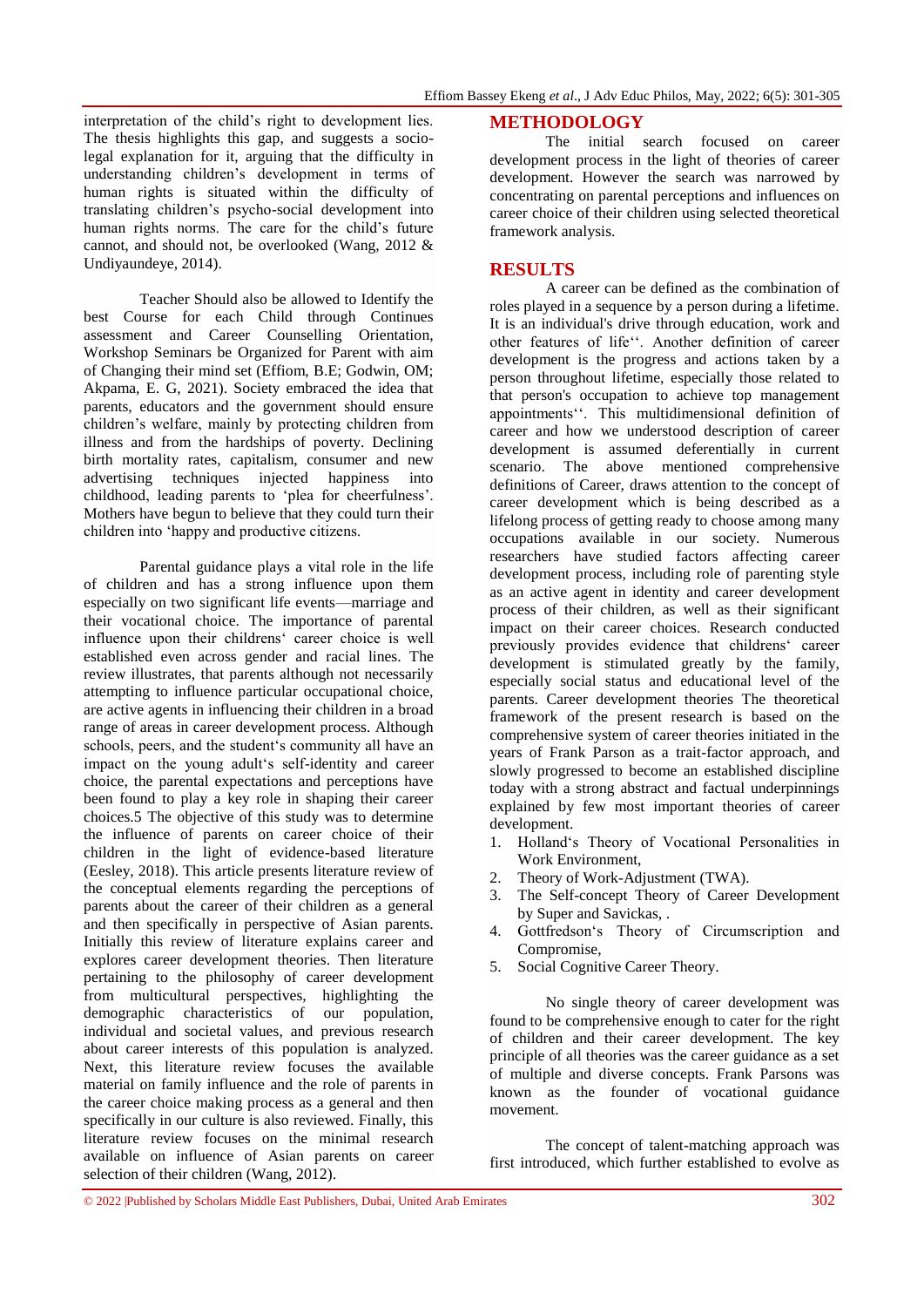interpretation of the child's right to development lies. The thesis highlights this gap, and suggests a sociolegal explanation for it, arguing that the difficulty in understanding children's development in terms of human rights is situated within the difficulty of translating children's psycho-social development into human rights norms. The care for the child's future cannot, and should not, be overlooked (Wang, 2012 & Undiyaundeye, 2014).

Teacher Should also be allowed to Identify the best Course for each Child through Continues assessment and Career Counselling Orientation, Workshop Seminars be Organized for Parent with aim of Changing their mind set (Effiom, B.E; Godwin, OM; Akpama, E. G, 2021). Society embraced the idea that parents, educators and the government should ensure children's welfare, mainly by protecting children from illness and from the hardships of poverty. Declining birth mortality rates, capitalism, consumer and new advertising techniques injected happiness into childhood, leading parents to 'plea for cheerfulness'. Mothers have begun to believe that they could turn their children into 'happy and productive citizens.

Parental guidance plays a vital role in the life of children and has a strong influence upon them especially on two significant life events—marriage and their vocational choice. The importance of parental influence upon their childrens' career choice is well established even across gender and racial lines. The review illustrates, that parents although not necessarily attempting to influence particular occupational choice, are active agents in influencing their children in a broad range of areas in career development process. Although schools, peers, and the student's community all have an impact on the young adult's self-identity and career choice, the parental expectations and perceptions have been found to play a key role in shaping their career choices.5 The objective of this study was to determine the influence of parents on career choice of their children in the light of evidence-based literature (Eesley, 2018). This article presents literature review of the conceptual elements regarding the perceptions of parents about the career of their children as a general and then specifically in perspective of Asian parents. Initially this review of literature explains career and explores career development theories. Then literature pertaining to the philosophy of career development from multicultural perspectives, highlighting the demographic characteristics of our population, individual and societal values, and previous research about career interests of this population is analyzed. Next, this literature review focuses the available material on family influence and the role of parents in the career choice making process as a general and then specifically in our culture is also reviewed. Finally, this literature review focuses on the minimal research available on influence of Asian parents on career selection of their children (Wang, 2012).

## **METHODOLOGY**

The initial search focused on career development process in the light of theories of career development. However the search was narrowed by concentrating on parental perceptions and influences on career choice of their children using selected theoretical framework analysis.

## **RESULTS**

A career can be defined as the combination of roles played in a sequence by a person during a lifetime. It is an individual's drive through education, work and other features of life''. Another definition of career development is the progress and actions taken by a person throughout lifetime, especially those related to that person's occupation to achieve top management appointments''. This multidimensional definition of career and how we understood description of career development is assumed deferentially in current scenario. The above mentioned comprehensive definitions of Career, draws attention to the concept of career development which is being described as a lifelong process of getting ready to choose among many occupations available in our society. Numerous researchers have studied factors affecting career development process, including role of parenting style as an active agent in identity and career development process of their children, as well as their significant impact on their career choices. Research conducted previously provides evidence that childrens' career development is stimulated greatly by the family, especially social status and educational level of the parents. Career development theories The theoretical framework of the present research is based on the comprehensive system of career theories initiated in the years of Frank Parson as a trait-factor approach, and slowly progressed to become an established discipline today with a strong abstract and factual underpinnings explained by few most important theories of career development.

- 1. Holland's Theory of Vocational Personalities in Work Environment,
- 2. Theory of Work-Adjustment (TWA).
- 3. The Self-concept Theory of Career Development by Super and Savickas, .
- 4. Gottfredson's Theory of Circumscription and Compromise,
- 5. Social Cognitive Career Theory.

No single theory of career development was found to be comprehensive enough to cater for the right of children and their career development. The key principle of all theories was the career guidance as a set of multiple and diverse concepts. Frank Parsons was known as the founder of vocational guidance movement.

The concept of talent-matching approach was first introduced, which further established to evolve as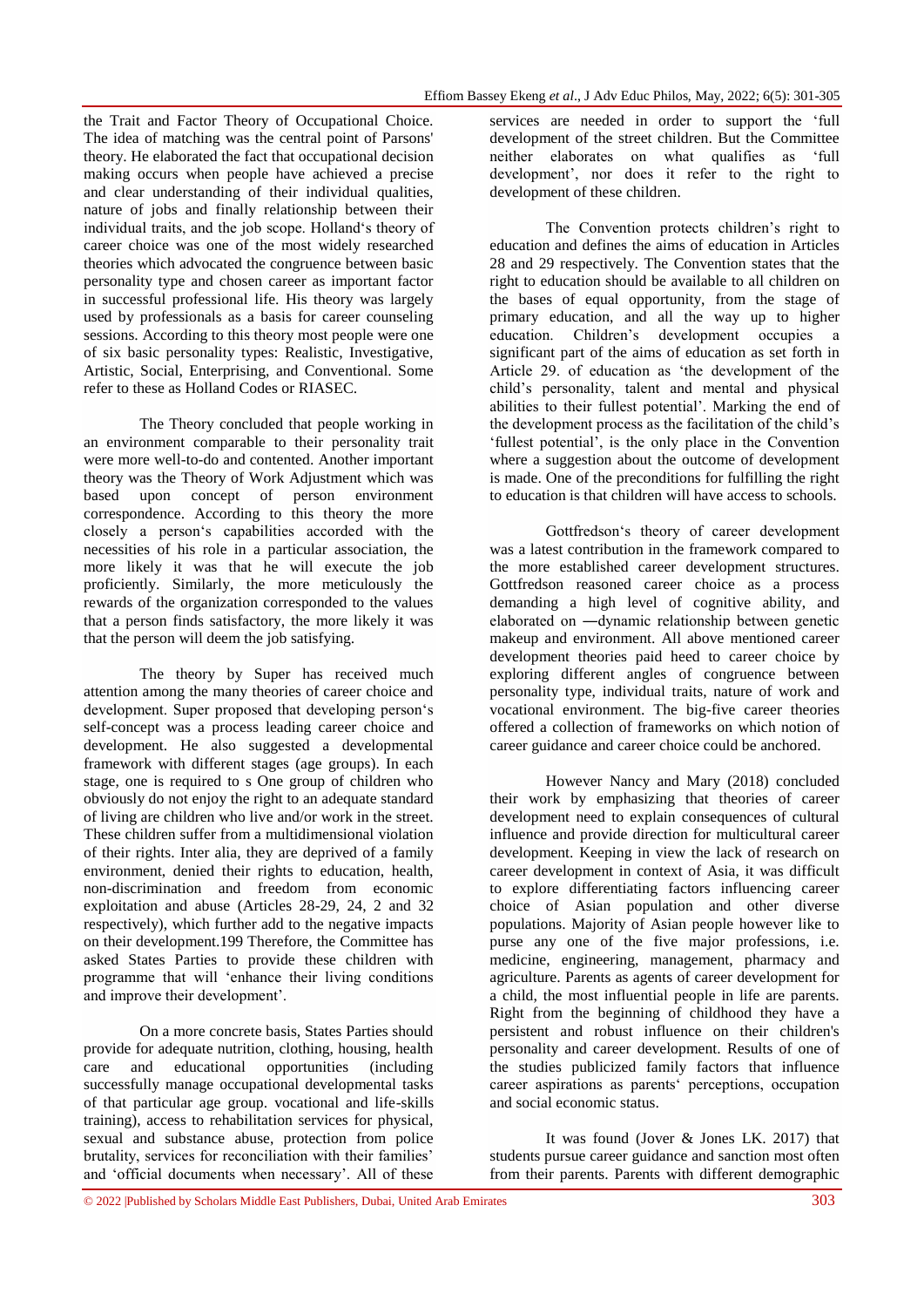the Trait and Factor Theory of Occupational Choice. The idea of matching was the central point of Parsons' theory. He elaborated the fact that occupational decision making occurs when people have achieved a precise and clear understanding of their individual qualities, nature of jobs and finally relationship between their individual traits, and the job scope. Holland's theory of career choice was one of the most widely researched theories which advocated the congruence between basic personality type and chosen career as important factor in successful professional life. His theory was largely used by professionals as a basis for career counseling sessions. According to this theory most people were one of six basic personality types: Realistic, Investigative, Artistic, Social, Enterprising, and Conventional. Some refer to these as Holland Codes or RIASEC.

The Theory concluded that people working in an environment comparable to their personality trait were more well-to-do and contented. Another important theory was the Theory of Work Adjustment which was based upon concept of person environment correspondence. According to this theory the more closely a person's capabilities accorded with the necessities of his role in a particular association, the more likely it was that he will execute the job proficiently. Similarly, the more meticulously the rewards of the organization corresponded to the values that a person finds satisfactory, the more likely it was that the person will deem the job satisfying.

The theory by Super has received much attention among the many theories of career choice and development. Super proposed that developing person's self-concept was a process leading career choice and development. He also suggested a developmental framework with different stages (age groups). In each stage, one is required to s One group of children who obviously do not enjoy the right to an adequate standard of living are children who live and/or work in the street. These children suffer from a multidimensional violation of their rights. Inter alia, they are deprived of a family environment, denied their rights to education, health, non-discrimination and freedom from economic exploitation and abuse (Articles 28-29, 24, 2 and 32 respectively), which further add to the negative impacts on their development.199 Therefore, the Committee has asked States Parties to provide these children with programme that will 'enhance their living conditions and improve their development'.

On a more concrete basis, States Parties should provide for adequate nutrition, clothing, housing, health care and educational opportunities (including successfully manage occupational developmental tasks of that particular age group. vocational and life-skills training), access to rehabilitation services for physical, sexual and substance abuse, protection from police brutality, services for reconciliation with their families' and 'official documents when necessary'. All of these

services are needed in order to support the 'full development of the street children. But the Committee neither elaborates on what qualifies as 'full development', nor does it refer to the right to development of these children.

The Convention protects children's right to education and defines the aims of education in Articles 28 and 29 respectively. The Convention states that the right to education should be available to all children on the bases of equal opportunity, from the stage of primary education, and all the way up to higher education. Children's development occupies a significant part of the aims of education as set forth in Article 29. of education as 'the development of the child's personality, talent and mental and physical abilities to their fullest potential'. Marking the end of the development process as the facilitation of the child's 'fullest potential', is the only place in the Convention where a suggestion about the outcome of development is made. One of the preconditions for fulfilling the right to education is that children will have access to schools.

Gottfredson's theory of career development was a latest contribution in the framework compared to the more established career development structures. Gottfredson reasoned career choice as a process demanding a high level of cognitive ability, and elaborated on ―dynamic relationship between genetic makeup and environment. All above mentioned career development theories paid heed to career choice by exploring different angles of congruence between personality type, individual traits, nature of work and vocational environment. The big-five career theories offered a collection of frameworks on which notion of career guidance and career choice could be anchored.

However Nancy and Mary (2018) concluded their work by emphasizing that theories of career development need to explain consequences of cultural influence and provide direction for multicultural career development. Keeping in view the lack of research on career development in context of Asia, it was difficult to explore differentiating factors influencing career choice of Asian population and other diverse populations. Majority of Asian people however like to purse any one of the five major professions, i.e. medicine, engineering, management, pharmacy and agriculture. Parents as agents of career development for a child, the most influential people in life are parents. Right from the beginning of childhood they have a persistent and robust influence on their children's personality and career development. Results of one of the studies publicized family factors that influence career aspirations as parents' perceptions, occupation and social economic status.

It was found (Jover & Jones LK. 2017) that students pursue career guidance and sanction most often from their parents. Parents with different demographic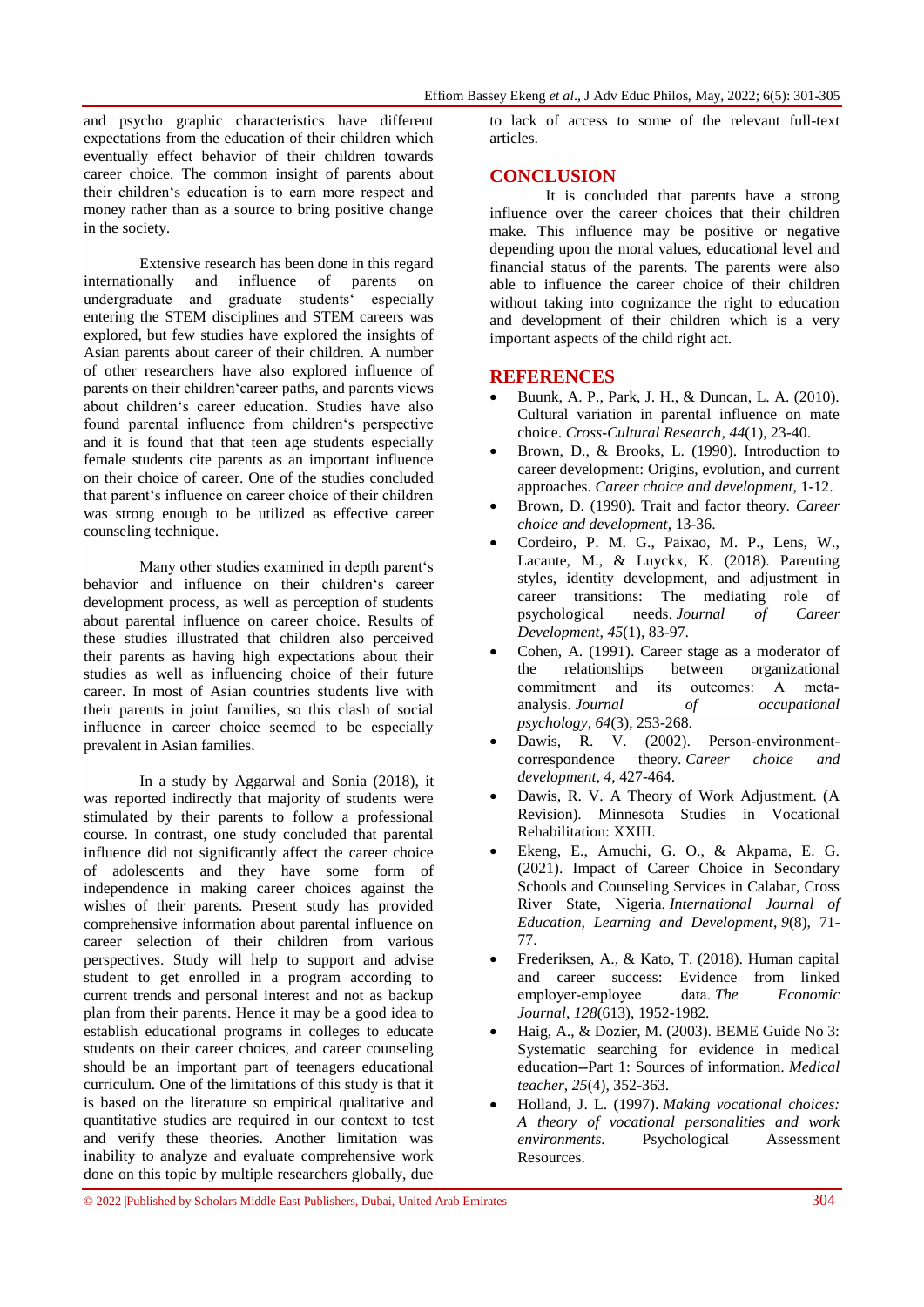and psycho graphic characteristics have different expectations from the education of their children which eventually effect behavior of their children towards career choice. The common insight of parents about their children's education is to earn more respect and money rather than as a source to bring positive change in the society.

Extensive research has been done in this regard internationally and influence of parents on undergraduate and graduate students' especially entering the STEM disciplines and STEM careers was explored, but few studies have explored the insights of Asian parents about career of their children. A number of other researchers have also explored influence of parents on their children'career paths, and parents views about children's career education. Studies have also found parental influence from children's perspective and it is found that that teen age students especially female students cite parents as an important influence on their choice of career. One of the studies concluded that parent's influence on career choice of their children was strong enough to be utilized as effective career counseling technique.

Many other studies examined in depth parent's behavior and influence on their children's career development process, as well as perception of students about parental influence on career choice. Results of these studies illustrated that children also perceived their parents as having high expectations about their studies as well as influencing choice of their future career. In most of Asian countries students live with their parents in joint families, so this clash of social influence in career choice seemed to be especially prevalent in Asian families.

In a study by Aggarwal and Sonia (2018), it was reported indirectly that majority of students were stimulated by their parents to follow a professional course. In contrast, one study concluded that parental influence did not significantly affect the career choice of adolescents and they have some form of independence in making career choices against the wishes of their parents. Present study has provided comprehensive information about parental influence on career selection of their children from various perspectives. Study will help to support and advise student to get enrolled in a program according to current trends and personal interest and not as backup plan from their parents. Hence it may be a good idea to establish educational programs in colleges to educate students on their career choices, and career counseling should be an important part of teenagers educational curriculum. One of the limitations of this study is that it is based on the literature so empirical qualitative and quantitative studies are required in our context to test and verify these theories. Another limitation was inability to analyze and evaluate comprehensive work done on this topic by multiple researchers globally, due

© 2022 |Published by Scholars Middle East Publishers, Dubai, United Arab Emirates 304

to lack of access to some of the relevant full-text articles.

## **CONCLUSION**

It is concluded that parents have a strong influence over the career choices that their children make. This influence may be positive or negative depending upon the moral values, educational level and financial status of the parents. The parents were also able to influence the career choice of their children without taking into cognizance the right to education and development of their children which is a very important aspects of the child right act.

### **REFERENCES**

- Buunk, A. P., Park, J. H., & Duncan, L. A. (2010). Cultural variation in parental influence on mate choice. *Cross-Cultural Research*, *44*(1), 23-40.
- Brown, D., & Brooks, L. (1990). Introduction to career development: Origins, evolution, and current approaches. *Career choice and development*, 1-12.
- Brown, D. (1990). Trait and factor theory. *Career choice and development*, 13-36.
- Cordeiro, P. M. G., Paixao, M. P., Lens, W., Lacante, M., & Luyckx, K. (2018). Parenting styles, identity development, and adjustment in career transitions: The mediating role of psychological needs. *Journal of Career Development*, *45*(1), 83-97.
- Cohen, A. (1991). Career stage as a moderator of the relationships between organizational commitment and its outcomes: A metaanalysis. *Journal of occupational psychology*, *64*(3), 253-268.
- Dawis, R. V. (2002). Person-environment-<br>correspondence theory. *Career choice and* correspondence theory. *Career choice and development*, *4*, 427-464.
- Dawis, R. V. A Theory of Work Adjustment. (A Revision). Minnesota Studies in Vocational Rehabilitation: XXIII.
- Ekeng, E., Amuchi, G. O., & Akpama, E. G. (2021). Impact of Career Choice in Secondary Schools and Counseling Services in Calabar, Cross River State, Nigeria. *International Journal of Education, Learning and Development*, *9*(8), 71- 77.
- Frederiksen, A., & Kato, T. (2018). Human capital and career success: Evidence from linked employer‐employee data. *The Economic Journal*, *128*(613), 1952-1982.
- Haig, A., & Dozier, M. (2003). BEME Guide No 3: Systematic searching for evidence in medical education--Part 1: Sources of information. *Medical teacher*, *25*(4), 352-363.
- Holland, J. L. (1997). *Making vocational choices: A theory of vocational personalities and work environments*. Psychological Assessment Resources.